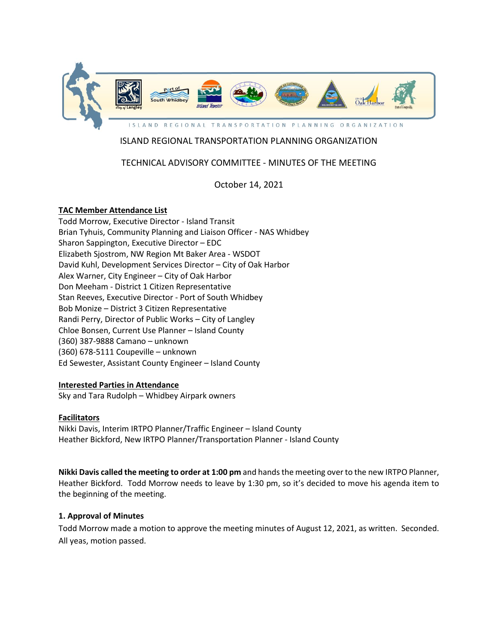

# ISLAND REGIONAL TRANSPORTATION PLANNING ORGANIZATION

# TECHNICAL ADVISORY COMMITTEE - MINUTES OF THE MEETING

October 14, 2021

## **TAC Member Attendance List**

Todd Morrow, Executive Director - Island Transit Brian Tyhuis, Community Planning and Liaison Officer - NAS Whidbey Sharon Sappington, Executive Director – EDC Elizabeth Sjostrom, NW Region Mt Baker Area - WSDOT David Kuhl, Development Services Director – City of Oak Harbor Alex Warner, City Engineer – City of Oak Harbor Don Meeham - District 1 Citizen Representative Stan Reeves, Executive Director - Port of South Whidbey Bob Monize – District 3 Citizen Representative Randi Perry, Director of Public Works – City of Langley Chloe Bonsen, Current Use Planner – Island County (360) 387-9888 Camano – unknown (360) 678-5111 Coupeville – unknown Ed Sewester, Assistant County Engineer – Island County

## **Interested Parties in Attendance**

Sky and Tara Rudolph – Whidbey Airpark owners

## **Facilitators**

Nikki Davis, Interim IRTPO Planner/Traffic Engineer – Island County Heather Bickford, New IRTPO Planner/Transportation Planner - Island County

**Nikki Davis called the meeting to order at 1:00 pm** and hands the meeting over to the new IRTPO Planner, Heather Bickford. Todd Morrow needs to leave by 1:30 pm, so it's decided to move his agenda item to the beginning of the meeting.

## **1. Approval of Minutes**

Todd Morrow made a motion to approve the meeting minutes of August 12, 2021, as written. Seconded. All yeas, motion passed.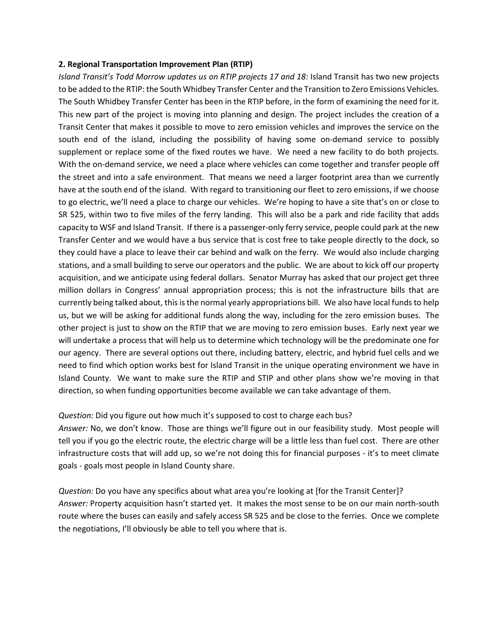#### **2. Regional Transportation Improvement Plan (RTIP)**

*Island Transit's Todd Morrow updates us on RTIP projects 17 and 18:* Island Transit has two new projects to be added to the RTIP: the South Whidbey Transfer Center and the Transition to Zero Emissions Vehicles. The South Whidbey Transfer Center has been in the RTIP before, in the form of examining the need for it. This new part of the project is moving into planning and design. The project includes the creation of a Transit Center that makes it possible to move to zero emission vehicles and improves the service on the south end of the island, including the possibility of having some on-demand service to possibly supplement or replace some of the fixed routes we have. We need a new facility to do both projects. With the on-demand service, we need a place where vehicles can come together and transfer people off the street and into a safe environment. That means we need a larger footprint area than we currently have at the south end of the island. With regard to transitioning our fleet to zero emissions, if we choose to go electric, we'll need a place to charge our vehicles. We're hoping to have a site that's on or close to SR 525, within two to five miles of the ferry landing. This will also be a park and ride facility that adds capacity to WSF and Island Transit. If there is a passenger-only ferry service, people could park at the new Transfer Center and we would have a bus service that is cost free to take people directly to the dock, so they could have a place to leave their car behind and walk on the ferry. We would also include charging stations, and a small building to serve our operators and the public. We are about to kick off our property acquisition, and we anticipate using federal dollars. Senator Murray has asked that our project get three million dollars in Congress' annual appropriation process; this is not the infrastructure bills that are currently being talked about, this is the normal yearly appropriations bill. We also have local funds to help us, but we will be asking for additional funds along the way, including for the zero emission buses. The other project is just to show on the RTIP that we are moving to zero emission buses. Early next year we will undertake a process that will help us to determine which technology will be the predominate one for our agency. There are several options out there, including battery, electric, and hybrid fuel cells and we need to find which option works best for Island Transit in the unique operating environment we have in Island County. We want to make sure the RTIP and STIP and other plans show we're moving in that direction, so when funding opportunities become available we can take advantage of them.

#### *Question:* Did you figure out how much it's supposed to cost to charge each bus?

*Answer:* No, we don't know. Those are things we'll figure out in our feasibility study. Most people will tell you if you go the electric route, the electric charge will be a little less than fuel cost. There are other infrastructure costs that will add up, so we're not doing this for financial purposes - it's to meet climate goals - goals most people in Island County share.

*Question:* Do you have any specifics about what area you're looking at [for the Transit Center]? *Answer:* Property acquisition hasn't started yet. It makes the most sense to be on our main north-south route where the buses can easily and safely access SR 525 and be close to the ferries. Once we complete the negotiations, I'll obviously be able to tell you where that is.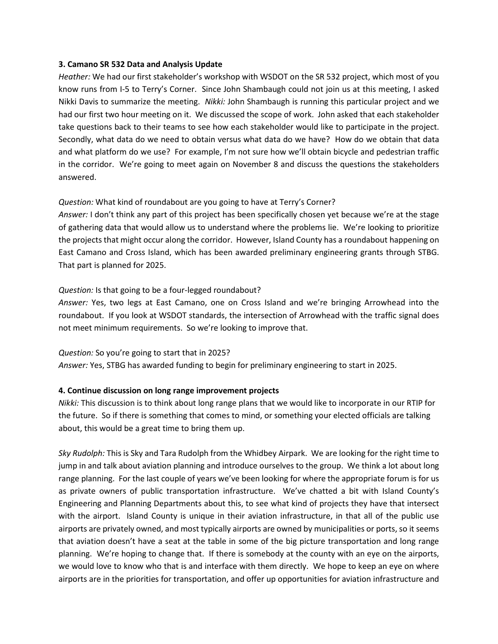#### **3. Camano SR 532 Data and Analysis Update**

*Heather:* We had our first stakeholder's workshop with WSDOT on the SR 532 project, which most of you know runs from I-5 to Terry's Corner. Since John Shambaugh could not join us at this meeting, I asked Nikki Davis to summarize the meeting. *Nikki:* John Shambaugh is running this particular project and we had our first two hour meeting on it. We discussed the scope of work. John asked that each stakeholder take questions back to their teams to see how each stakeholder would like to participate in the project. Secondly, what data do we need to obtain versus what data do we have? How do we obtain that data and what platform do we use? For example, I'm not sure how we'll obtain bicycle and pedestrian traffic in the corridor. We're going to meet again on November 8 and discuss the questions the stakeholders answered.

## *Question:* What kind of roundabout are you going to have at Terry's Corner?

*Answer:* I don't think any part of this project has been specifically chosen yet because we're at the stage of gathering data that would allow us to understand where the problems lie. We're looking to prioritize the projects that might occur along the corridor. However, Island County has a roundabout happening on East Camano and Cross Island, which has been awarded preliminary engineering grants through STBG. That part is planned for 2025.

#### *Question:* Is that going to be a four-legged roundabout?

*Answer:* Yes, two legs at East Camano, one on Cross Island and we're bringing Arrowhead into the roundabout. If you look at WSDOT standards, the intersection of Arrowhead with the traffic signal does not meet minimum requirements. So we're looking to improve that.

#### *Question:* So you're going to start that in 2025?

*Answer:* Yes, STBG has awarded funding to begin for preliminary engineering to start in 2025.

## **4. Continue discussion on long range improvement projects**

*Nikki:* This discussion is to think about long range plans that we would like to incorporate in our RTIP for the future. So if there is something that comes to mind, or something your elected officials are talking about, this would be a great time to bring them up.

*Sky Rudolph:* This is Sky and Tara Rudolph from the Whidbey Airpark. We are looking for the right time to jump in and talk about aviation planning and introduce ourselves to the group. We think a lot about long range planning. For the last couple of years we've been looking for where the appropriate forum is for us as private owners of public transportation infrastructure. We've chatted a bit with Island County's Engineering and Planning Departments about this, to see what kind of projects they have that intersect with the airport. Island County is unique in their aviation infrastructure, in that all of the public use airports are privately owned, and most typically airports are owned by municipalities or ports, so it seems that aviation doesn't have a seat at the table in some of the big picture transportation and long range planning. We're hoping to change that. If there is somebody at the county with an eye on the airports, we would love to know who that is and interface with them directly. We hope to keep an eye on where airports are in the priorities for transportation, and offer up opportunities for aviation infrastructure and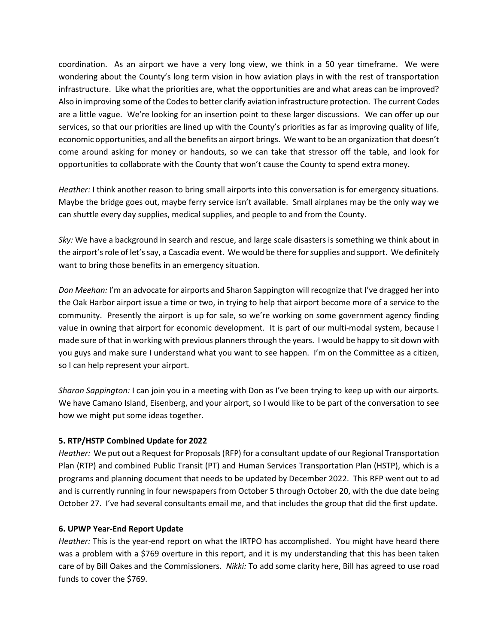coordination. As an airport we have a very long view, we think in a 50 year timeframe. We were wondering about the County's long term vision in how aviation plays in with the rest of transportation infrastructure. Like what the priorities are, what the opportunities are and what areas can be improved? Also in improving some of the Codes to better clarify aviation infrastructure protection. The current Codes are a little vague. We're looking for an insertion point to these larger discussions. We can offer up our services, so that our priorities are lined up with the County's priorities as far as improving quality of life, economic opportunities, and all the benefits an airport brings. We want to be an organization that doesn't come around asking for money or handouts, so we can take that stressor off the table, and look for opportunities to collaborate with the County that won't cause the County to spend extra money.

*Heather:* I think another reason to bring small airports into this conversation is for emergency situations. Maybe the bridge goes out, maybe ferry service isn't available. Small airplanes may be the only way we can shuttle every day supplies, medical supplies, and people to and from the County.

*Sky:* We have a background in search and rescue, and large scale disasters is something we think about in the airport's role of let's say, a Cascadia event. We would be there for supplies and support. We definitely want to bring those benefits in an emergency situation.

*Don Meehan:* I'm an advocate for airports and Sharon Sappington will recognize that I've dragged her into the Oak Harbor airport issue a time or two, in trying to help that airport become more of a service to the community. Presently the airport is up for sale, so we're working on some government agency finding value in owning that airport for economic development. It is part of our multi-modal system, because I made sure of that in working with previous planners through the years. I would be happy to sit down with you guys and make sure I understand what you want to see happen. I'm on the Committee as a citizen, so I can help represent your airport.

*Sharon Sappington:* I can join you in a meeting with Don as I've been trying to keep up with our airports. We have Camano Island, Eisenberg, and your airport, so I would like to be part of the conversation to see how we might put some ideas together.

## **5. RTP/HSTP Combined Update for 2022**

*Heather:* We put out a Request for Proposals(RFP) for a consultant update of our Regional Transportation Plan (RTP) and combined Public Transit (PT) and Human Services Transportation Plan (HSTP), which is a programs and planning document that needs to be updated by December 2022. This RFP went out to ad and is currently running in four newspapers from October 5 through October 20, with the due date being October 27. I've had several consultants email me, and that includes the group that did the first update.

## **6. UPWP Year-End Report Update**

*Heather:* This is the year-end report on what the IRTPO has accomplished. You might have heard there was a problem with a \$769 overture in this report, and it is my understanding that this has been taken care of by Bill Oakes and the Commissioners. *Nikki:* To add some clarity here, Bill has agreed to use road funds to cover the \$769.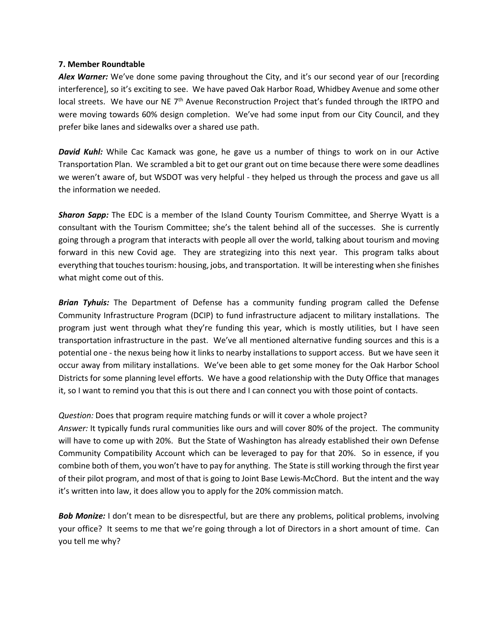#### **7. Member Roundtable**

Alex Warner: We've done some paving throughout the City, and it's our second year of our [recording interference], so it's exciting to see. We have paved Oak Harbor Road, Whidbey Avenue and some other local streets. We have our NE 7<sup>th</sup> Avenue Reconstruction Project that's funded through the IRTPO and were moving towards 60% design completion. We've had some input from our City Council, and they prefer bike lanes and sidewalks over a shared use path.

*David Kuhl:* While Cac Kamack was gone, he gave us a number of things to work on in our Active Transportation Plan. We scrambled a bit to get our grant out on time because there were some deadlines we weren't aware of, but WSDOT was very helpful - they helped us through the process and gave us all the information we needed.

*Sharon Sapp:* The EDC is a member of the Island County Tourism Committee, and Sherrye Wyatt is a consultant with the Tourism Committee; she's the talent behind all of the successes. She is currently going through a program that interacts with people all over the world, talking about tourism and moving forward in this new Covid age. They are strategizing into this next year. This program talks about everything that touches tourism: housing, jobs, and transportation. It will be interesting when she finishes what might come out of this.

*Brian Tyhuis:* The Department of Defense has a community funding program called the Defense Community Infrastructure Program (DCIP) to fund infrastructure adjacent to military installations. The program just went through what they're funding this year, which is mostly utilities, but I have seen transportation infrastructure in the past. We've all mentioned alternative funding sources and this is a potential one - the nexus being how it links to nearby installations to support access. But we have seen it occur away from military installations. We've been able to get some money for the Oak Harbor School Districts for some planning level efforts. We have a good relationship with the Duty Office that manages it, so I want to remind you that this is out there and I can connect you with those point of contacts.

*Question:* Does that program require matching funds or will it cover a whole project?

*Answer:* It typically funds rural communities like ours and will cover 80% of the project. The community will have to come up with 20%. But the State of Washington has already established their own Defense Community Compatibility Account which can be leveraged to pay for that 20%. So in essence, if you combine both of them, you won't have to pay for anything. The State is still working through the first year of their pilot program, and most of that is going to Joint Base Lewis-McChord. But the intent and the way it's written into law, it does allow you to apply for the 20% commission match.

**Bob Monize:** I don't mean to be disrespectful, but are there any problems, political problems, involving your office? It seems to me that we're going through a lot of Directors in a short amount of time. Can you tell me why?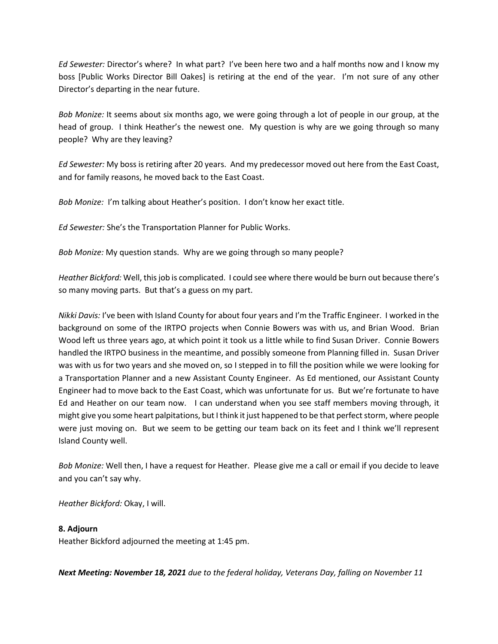*Ed Sewester:* Director's where? In what part? I've been here two and a half months now and I know my boss [Public Works Director Bill Oakes] is retiring at the end of the year. I'm not sure of any other Director's departing in the near future.

*Bob Monize:* It seems about six months ago, we were going through a lot of people in our group, at the head of group. I think Heather's the newest one. My question is why are we going through so many people? Why are they leaving?

*Ed Sewester:* My boss is retiring after 20 years. And my predecessor moved out here from the East Coast, and for family reasons, he moved back to the East Coast.

*Bob Monize:* I'm talking about Heather's position. I don't know her exact title.

*Ed Sewester:* She's the Transportation Planner for Public Works.

*Bob Monize:* My question stands. Why are we going through so many people?

*Heather Bickford:* Well, this job is complicated. I could see where there would be burn out because there's so many moving parts. But that's a guess on my part.

*Nikki Davis:* I've been with Island County for about four years and I'm the Traffic Engineer. I worked in the background on some of the IRTPO projects when Connie Bowers was with us, and Brian Wood. Brian Wood left us three years ago, at which point it took us a little while to find Susan Driver. Connie Bowers handled the IRTPO business in the meantime, and possibly someone from Planning filled in. Susan Driver was with us for two years and she moved on, so I stepped in to fill the position while we were looking for a Transportation Planner and a new Assistant County Engineer. As Ed mentioned, our Assistant County Engineer had to move back to the East Coast, which was unfortunate for us. But we're fortunate to have Ed and Heather on our team now. I can understand when you see staff members moving through, it might give you some heart palpitations, but I think it just happened to be that perfect storm, where people were just moving on. But we seem to be getting our team back on its feet and I think we'll represent Island County well.

*Bob Monize:* Well then, I have a request for Heather. Please give me a call or email if you decide to leave and you can't say why.

*Heather Bickford:* Okay, I will.

## **8. Adjourn**

Heather Bickford adjourned the meeting at 1:45 pm.

*Next Meeting: November 18, 2021 due to the federal holiday, Veterans Day, falling on November 11*